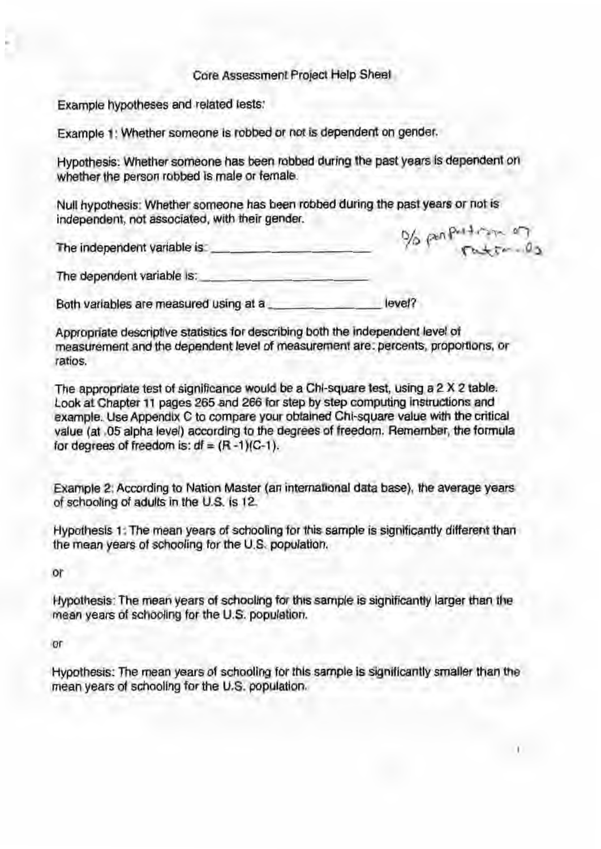## Core Assessment Project Help Sheet

Example hypotheses and related tests:

Example 1: Whether someone is robbed or not is dependent on gender.

Hypothesis: Whether someone has been robbed during the past years Is dependent on whether the person robbed is male or female.

Null hypothesis: Whether someone has been robbed during the past years or not is independent, not associated, with their gender. independent, not associated, with their gender.<br>The independent variable is:

os perpetuares of

 $\mathbf{1}$ 

The independent variable is:<br>The dependent variable is:

Both variables are measured using at a \_\_\_\_\_\_\_ level?

Appropriate descriptive statistics for describing both the independent level of measurement and the dependent level of measurement are: percents, proportions, or ratios.

The appropriate test of significance would be a Chi-square test, using a 2 X 2 table. Look at Chapter 11 pages 265 and 266 for step by step computing instructions and example. Use Appendix C to compare your obtained Chi-square value with the critical value (at .05 alpha level) according to the degrees of freedom. Remember, the formula for degrees of freedom is:  $df = (R - 1)(C - 1)$ .

Example 2: According to Nation Master (an international data base), the average years of schooling of adults in the U.S. is 12.

Hypothesis 1: The mean years of schooling for this sample is significantly different than the mean years of schooling for the U.S. population.

or

Hypothesis: The mean years of schooling for this sample is significantly larger than the mean years of schooling for the U.S. population.

or

Hypothesis: The mean years of schooling for this sample is significantly smaller than the mean years of schooling for the U.S. population.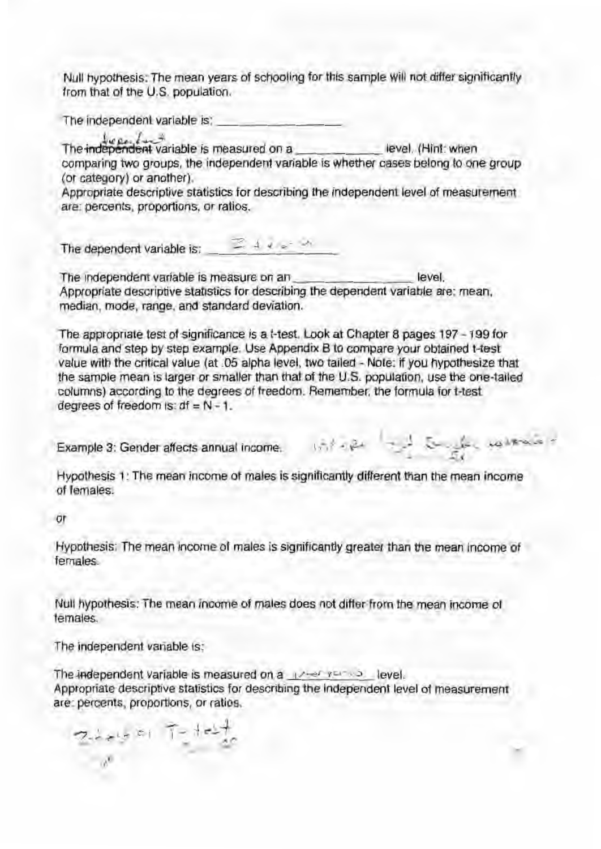Null hypothesis: The mean years of schooling for this sample will not differ significantly from that of the U.S. population.

The independent variable is:

The independent variable is measured on a level. (Hint: when comparing two groups, the independent variable is whether cases belong to one group (or category) or another).

Appropriate descriptive statistics for describing the independent level of measurement are: percents, proportions, or ratios.

The dependent variable is:  $\mathbb{Z} \downarrow e^{-\frac{1}{2}A}$ 

The independent variable is measure on an level. Appropriate descriptive statistics for describing the dependent variable are: mean, median, mode, range, and standard deviation.

The appropriate test of significance is a t-test. Look at Chapter 8 pages 197 - 199 for formula and step by step example. Use Appendix B to compare your obtained t-test value with the critical value (at .05 alpha level, two tailed- Note: if you hypothesize that the sample mean is larger or smaller than that of the U.S. population, use the one-tailed columns) according to the degrees of freedom. Remember, the formula fort-test degrees of freedom is:  $df = N - 1$ .

Example 3: Gender affects annual income.

which is the same

Hypothesis 1: The mean income of males is significantly different than the mean income of females.

or

Hypothesis: The mean income of males is significantly greater than the mean income of females. *Females.* 

Null hypothesis: The mean income of males does not differ from the mean income of females.

The independent variable is:

The independent variable is measured on a  $\sqrt{2}$  remains level. Appropriate descriptive statistics for describing the independent level of measurement are: percents, proportions, or ratios .

 $7.1 + 5 = 1 + 1 + 1$ . ,. *c* 2